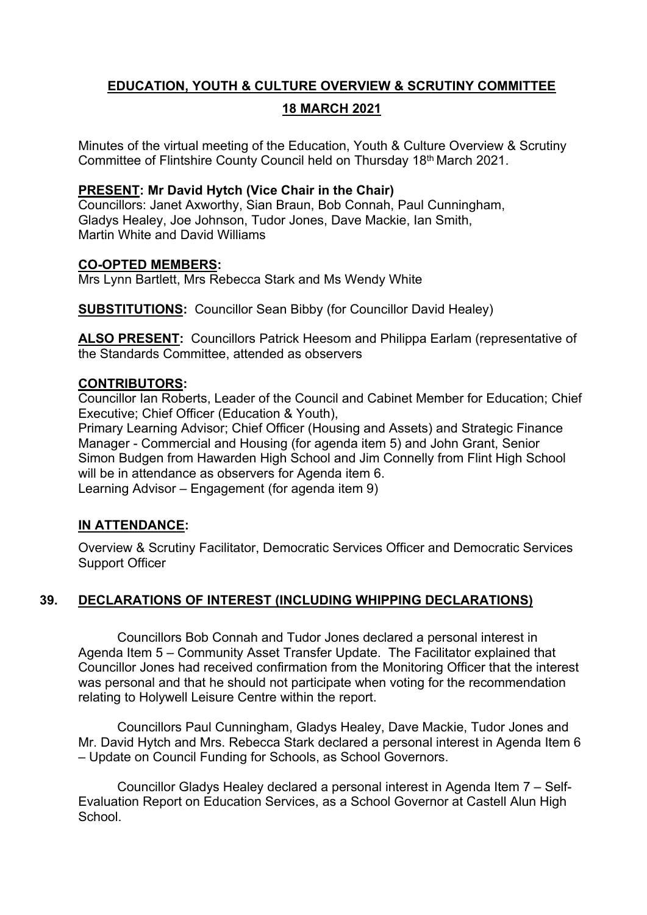# **EDUCATION, YOUTH & CULTURE OVERVIEW & SCRUTINY COMMITTEE 18 MARCH 2021**

Minutes of the virtual meeting of the Education, Youth & Culture Overview & Scrutiny Committee of Flintshire County Council held on Thursday 18th March 2021.

# **PRESENT: Mr David Hytch (Vice Chair in the Chair)**

Councillors: Janet Axworthy, Sian Braun, Bob Connah, Paul Cunningham, Gladys Healey, Joe Johnson, Tudor Jones, Dave Mackie, Ian Smith, Martin White and David Williams

# **CO-OPTED MEMBERS:**

Mrs Lynn Bartlett, Mrs Rebecca Stark and Ms Wendy White

**SUBSTITUTIONS:** Councillor Sean Bibby (for Councillor David Healey)

**ALSO PRESENT:** Councillors Patrick Heesom and Philippa Earlam (representative of the Standards Committee, attended as observers

# **CONTRIBUTORS:**

Councillor Ian Roberts, Leader of the Council and Cabinet Member for Education; Chief Executive; Chief Officer (Education & Youth),

Primary Learning Advisor; Chief Officer (Housing and Assets) and Strategic Finance Manager - Commercial and Housing (for agenda item 5) and John Grant, Senior Simon Budgen from Hawarden High School and Jim Connelly from Flint High School will be in attendance as observers for Agenda item 6. Learning Advisor – Engagement (for agenda item 9)

# **IN ATTENDANCE:**

Overview & Scrutiny Facilitator, Democratic Services Officer and Democratic Services Support Officer

# **39. DECLARATIONS OF INTEREST (INCLUDING WHIPPING DECLARATIONS)**

Councillors Bob Connah and Tudor Jones declared a personal interest in Agenda Item 5 – Community Asset Transfer Update. The Facilitator explained that Councillor Jones had received confirmation from the Monitoring Officer that the interest was personal and that he should not participate when voting for the recommendation relating to Holywell Leisure Centre within the report.

Councillors Paul Cunningham, Gladys Healey, Dave Mackie, Tudor Jones and Mr. David Hytch and Mrs. Rebecca Stark declared a personal interest in Agenda Item 6 – Update on Council Funding for Schools, as School Governors.

Councillor Gladys Healey declared a personal interest in Agenda Item 7 – Self-Evaluation Report on Education Services, as a School Governor at Castell Alun High **School**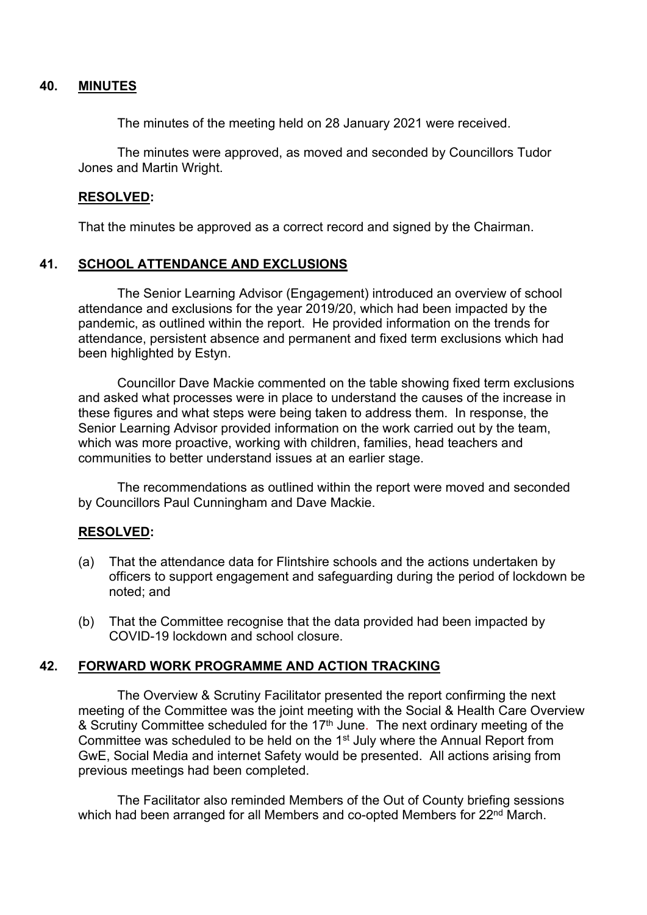### **40. MINUTES**

The minutes of the meeting held on 28 January 2021 were received.

The minutes were approved, as moved and seconded by Councillors Tudor Jones and Martin Wright.

### **RESOLVED:**

That the minutes be approved as a correct record and signed by the Chairman.

# **41. SCHOOL ATTENDANCE AND EXCLUSIONS**

The Senior Learning Advisor (Engagement) introduced an overview of school attendance and exclusions for the year 2019/20, which had been impacted by the pandemic, as outlined within the report. He provided information on the trends for attendance, persistent absence and permanent and fixed term exclusions which had been highlighted by Estyn.

Councillor Dave Mackie commented on the table showing fixed term exclusions and asked what processes were in place to understand the causes of the increase in these figures and what steps were being taken to address them. In response, the Senior Learning Advisor provided information on the work carried out by the team, which was more proactive, working with children, families, head teachers and communities to better understand issues at an earlier stage.

The recommendations as outlined within the report were moved and seconded by Councillors Paul Cunningham and Dave Mackie.

# **RESOLVED:**

- (a) That the attendance data for Flintshire schools and the actions undertaken by officers to support engagement and safeguarding during the period of lockdown be noted; and
- (b) That the Committee recognise that the data provided had been impacted by COVID-19 lockdown and school closure.

### **42. FORWARD WORK PROGRAMME AND ACTION TRACKING**

The Overview & Scrutiny Facilitator presented the report confirming the next meeting of the Committee was the joint meeting with the Social & Health Care Overview & Scrutiny Committee scheduled for the 17<sup>th</sup> June. The next ordinary meeting of the Committee was scheduled to be held on the 1<sup>st</sup> July where the Annual Report from GwE, Social Media and internet Safety would be presented. All actions arising from previous meetings had been completed.

The Facilitator also reminded Members of the Out of County briefing sessions which had been arranged for all Members and co-opted Members for 22<sup>nd</sup> March.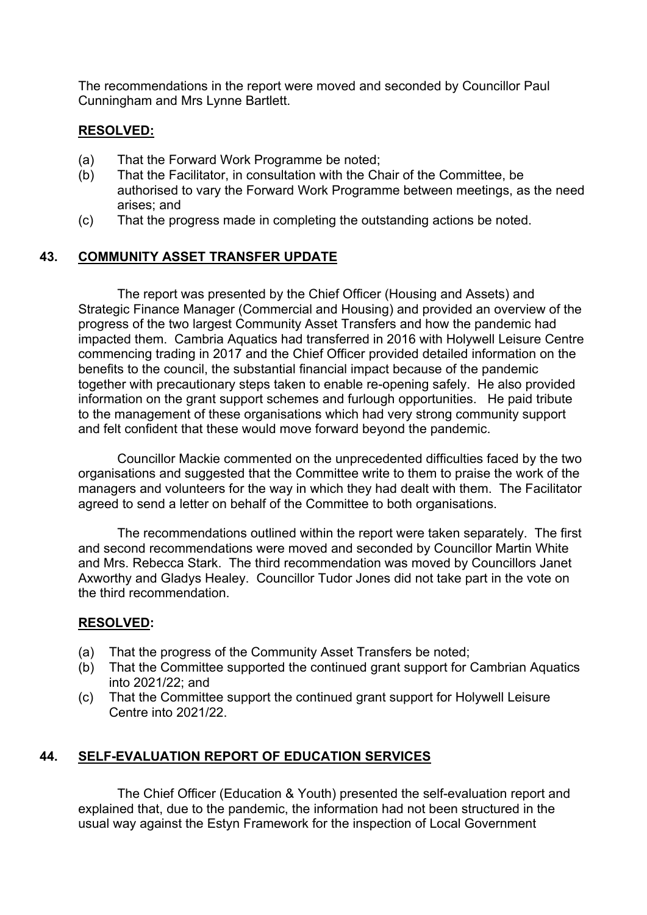The recommendations in the report were moved and seconded by Councillor Paul Cunningham and Mrs Lynne Bartlett.

# **RESOLVED:**

- (a) That the Forward Work Programme be noted;
- (b) That the Facilitator, in consultation with the Chair of the Committee, be authorised to vary the Forward Work Programme between meetings, as the need arises; and
- (c) That the progress made in completing the outstanding actions be noted.

# **43. COMMUNITY ASSET TRANSFER UPDATE**

The report was presented by the Chief Officer (Housing and Assets) and Strategic Finance Manager (Commercial and Housing) and provided an overview of the progress of the two largest Community Asset Transfers and how the pandemic had impacted them. Cambria Aquatics had transferred in 2016 with Holywell Leisure Centre commencing trading in 2017 and the Chief Officer provided detailed information on the benefits to the council, the substantial financial impact because of the pandemic together with precautionary steps taken to enable re-opening safely. He also provided information on the grant support schemes and furlough opportunities. He paid tribute to the management of these organisations which had very strong community support and felt confident that these would move forward beyond the pandemic.

Councillor Mackie commented on the unprecedented difficulties faced by the two organisations and suggested that the Committee write to them to praise the work of the managers and volunteers for the way in which they had dealt with them. The Facilitator agreed to send a letter on behalf of the Committee to both organisations.

The recommendations outlined within the report were taken separately. The first and second recommendations were moved and seconded by Councillor Martin White and Mrs. Rebecca Stark. The third recommendation was moved by Councillors Janet Axworthy and Gladys Healey. Councillor Tudor Jones did not take part in the vote on the third recommendation.

### **RESOLVED:**

- (a) That the progress of the Community Asset Transfers be noted;
- (b) That the Committee supported the continued grant support for Cambrian Aquatics into 2021/22; and
- (c) That the Committee support the continued grant support for Holywell Leisure Centre into 2021/22.

# **44. SELF-EVALUATION REPORT OF EDUCATION SERVICES**

The Chief Officer (Education & Youth) presented the self-evaluation report and explained that, due to the pandemic, the information had not been structured in the usual way against the Estyn Framework for the inspection of Local Government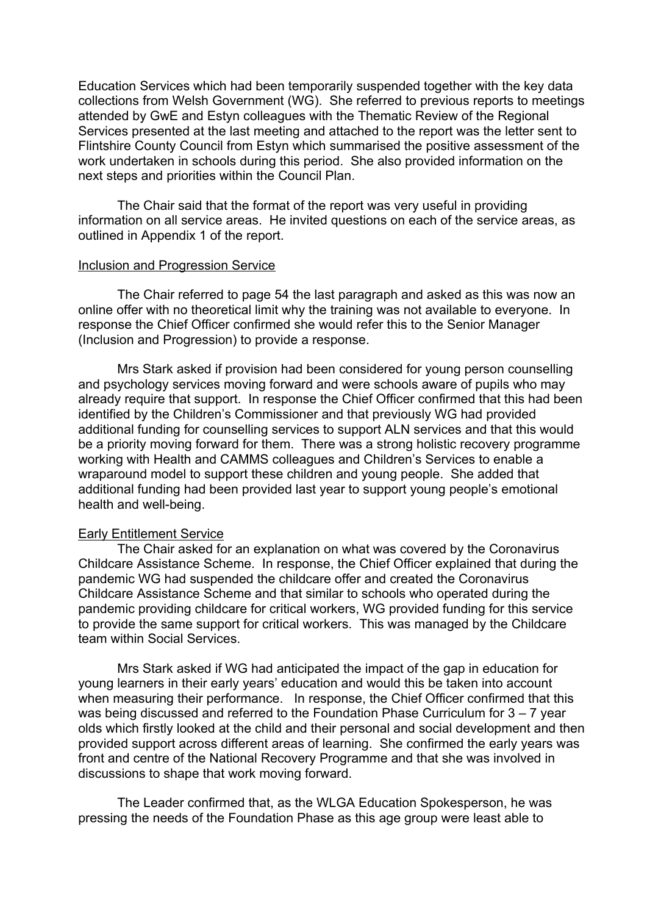Education Services which had been temporarily suspended together with the key data collections from Welsh Government (WG). She referred to previous reports to meetings attended by GwE and Estyn colleagues with the Thematic Review of the Regional Services presented at the last meeting and attached to the report was the letter sent to Flintshire County Council from Estyn which summarised the positive assessment of the work undertaken in schools during this period. She also provided information on the next steps and priorities within the Council Plan.

The Chair said that the format of the report was very useful in providing information on all service areas. He invited questions on each of the service areas, as outlined in Appendix 1 of the report.

#### Inclusion and Progression Service

The Chair referred to page 54 the last paragraph and asked as this was now an online offer with no theoretical limit why the training was not available to everyone. In response the Chief Officer confirmed she would refer this to the Senior Manager (Inclusion and Progression) to provide a response.

Mrs Stark asked if provision had been considered for young person counselling and psychology services moving forward and were schools aware of pupils who may already require that support. In response the Chief Officer confirmed that this had been identified by the Children's Commissioner and that previously WG had provided additional funding for counselling services to support ALN services and that this would be a priority moving forward for them. There was a strong holistic recovery programme working with Health and CAMMS colleagues and Children's Services to enable a wraparound model to support these children and young people. She added that additional funding had been provided last year to support young people's emotional health and well-being.

#### Early Entitlement Service

The Chair asked for an explanation on what was covered by the Coronavirus Childcare Assistance Scheme. In response, the Chief Officer explained that during the pandemic WG had suspended the childcare offer and created the Coronavirus Childcare Assistance Scheme and that similar to schools who operated during the pandemic providing childcare for critical workers, WG provided funding for this service to provide the same support for critical workers. This was managed by the Childcare team within Social Services.

Mrs Stark asked if WG had anticipated the impact of the gap in education for young learners in their early years' education and would this be taken into account when measuring their performance. In response, the Chief Officer confirmed that this was being discussed and referred to the Foundation Phase Curriculum for 3 – 7 year olds which firstly looked at the child and their personal and social development and then provided support across different areas of learning. She confirmed the early years was front and centre of the National Recovery Programme and that she was involved in discussions to shape that work moving forward.

The Leader confirmed that, as the WLGA Education Spokesperson, he was pressing the needs of the Foundation Phase as this age group were least able to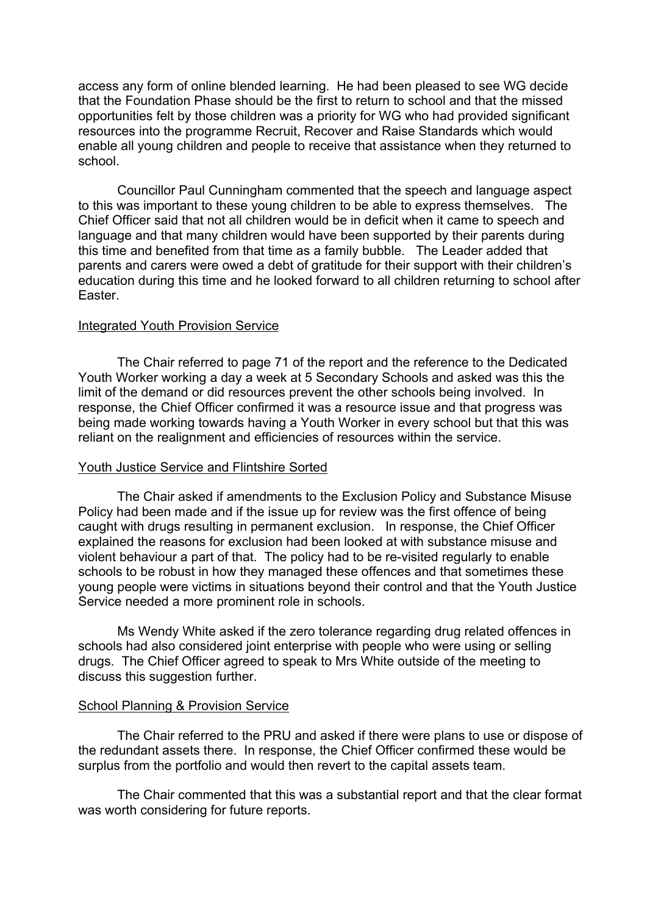access any form of online blended learning. He had been pleased to see WG decide that the Foundation Phase should be the first to return to school and that the missed opportunities felt by those children was a priority for WG who had provided significant resources into the programme Recruit, Recover and Raise Standards which would enable all young children and people to receive that assistance when they returned to school.

Councillor Paul Cunningham commented that the speech and language aspect to this was important to these young children to be able to express themselves. The Chief Officer said that not all children would be in deficit when it came to speech and language and that many children would have been supported by their parents during this time and benefited from that time as a family bubble. The Leader added that parents and carers were owed a debt of gratitude for their support with their children's education during this time and he looked forward to all children returning to school after Easter.

#### Integrated Youth Provision Service

The Chair referred to page 71 of the report and the reference to the Dedicated Youth Worker working a day a week at 5 Secondary Schools and asked was this the limit of the demand or did resources prevent the other schools being involved. In response, the Chief Officer confirmed it was a resource issue and that progress was being made working towards having a Youth Worker in every school but that this was reliant on the realignment and efficiencies of resources within the service.

#### Youth Justice Service and Flintshire Sorted

The Chair asked if amendments to the Exclusion Policy and Substance Misuse Policy had been made and if the issue up for review was the first offence of being caught with drugs resulting in permanent exclusion. In response, the Chief Officer explained the reasons for exclusion had been looked at with substance misuse and violent behaviour a part of that. The policy had to be re-visited regularly to enable schools to be robust in how they managed these offences and that sometimes these young people were victims in situations beyond their control and that the Youth Justice Service needed a more prominent role in schools.

Ms Wendy White asked if the zero tolerance regarding drug related offences in schools had also considered joint enterprise with people who were using or selling drugs. The Chief Officer agreed to speak to Mrs White outside of the meeting to discuss this suggestion further.

#### School Planning & Provision Service

The Chair referred to the PRU and asked if there were plans to use or dispose of the redundant assets there. In response, the Chief Officer confirmed these would be surplus from the portfolio and would then revert to the capital assets team.

The Chair commented that this was a substantial report and that the clear format was worth considering for future reports.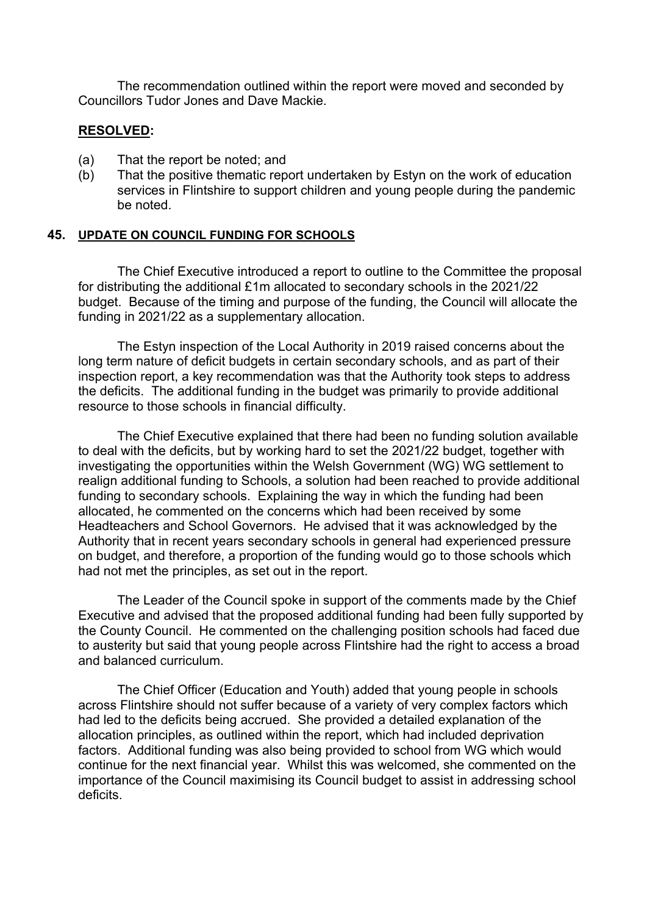The recommendation outlined within the report were moved and seconded by Councillors Tudor Jones and Dave Mackie.

### **RESOLVED:**

- (a) That the report be noted; and
- (b) That the positive thematic report undertaken by Estyn on the work of education services in Flintshire to support children and young people during the pandemic be noted.

### **45. UPDATE ON COUNCIL FUNDING FOR SCHOOLS**

The Chief Executive introduced a report to outline to the Committee the proposal for distributing the additional £1m allocated to secondary schools in the 2021/22 budget. Because of the timing and purpose of the funding, the Council will allocate the funding in 2021/22 as a supplementary allocation.

The Estyn inspection of the Local Authority in 2019 raised concerns about the long term nature of deficit budgets in certain secondary schools, and as part of their inspection report, a key recommendation was that the Authority took steps to address the deficits. The additional funding in the budget was primarily to provide additional resource to those schools in financial difficulty.

The Chief Executive explained that there had been no funding solution available to deal with the deficits, but by working hard to set the 2021/22 budget, together with investigating the opportunities within the Welsh Government (WG) WG settlement to realign additional funding to Schools, a solution had been reached to provide additional funding to secondary schools. Explaining the way in which the funding had been allocated, he commented on the concerns which had been received by some Headteachers and School Governors. He advised that it was acknowledged by the Authority that in recent years secondary schools in general had experienced pressure on budget, and therefore, a proportion of the funding would go to those schools which had not met the principles, as set out in the report.

The Leader of the Council spoke in support of the comments made by the Chief Executive and advised that the proposed additional funding had been fully supported by the County Council. He commented on the challenging position schools had faced due to austerity but said that young people across Flintshire had the right to access a broad and balanced curriculum.

The Chief Officer (Education and Youth) added that young people in schools across Flintshire should not suffer because of a variety of very complex factors which had led to the deficits being accrued. She provided a detailed explanation of the allocation principles, as outlined within the report, which had included deprivation factors. Additional funding was also being provided to school from WG which would continue for the next financial year. Whilst this was welcomed, she commented on the importance of the Council maximising its Council budget to assist in addressing school deficits.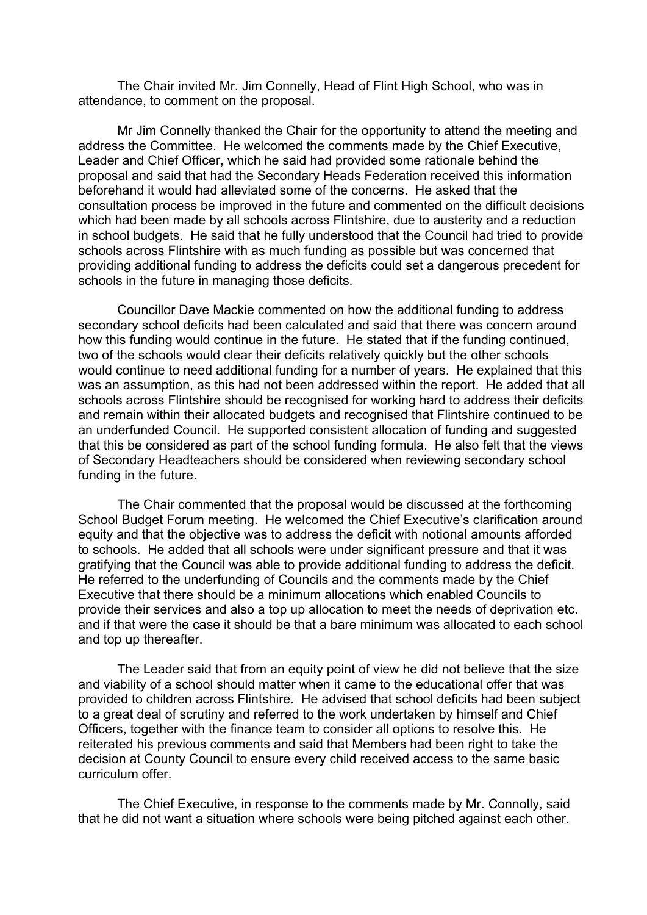The Chair invited Mr. Jim Connelly, Head of Flint High School, who was in attendance, to comment on the proposal.

Mr Jim Connelly thanked the Chair for the opportunity to attend the meeting and address the Committee. He welcomed the comments made by the Chief Executive, Leader and Chief Officer, which he said had provided some rationale behind the proposal and said that had the Secondary Heads Federation received this information beforehand it would had alleviated some of the concerns. He asked that the consultation process be improved in the future and commented on the difficult decisions which had been made by all schools across Flintshire, due to austerity and a reduction in school budgets. He said that he fully understood that the Council had tried to provide schools across Flintshire with as much funding as possible but was concerned that providing additional funding to address the deficits could set a dangerous precedent for schools in the future in managing those deficits.

Councillor Dave Mackie commented on how the additional funding to address secondary school deficits had been calculated and said that there was concern around how this funding would continue in the future. He stated that if the funding continued, two of the schools would clear their deficits relatively quickly but the other schools would continue to need additional funding for a number of years. He explained that this was an assumption, as this had not been addressed within the report. He added that all schools across Flintshire should be recognised for working hard to address their deficits and remain within their allocated budgets and recognised that Flintshire continued to be an underfunded Council. He supported consistent allocation of funding and suggested that this be considered as part of the school funding formula. He also felt that the views of Secondary Headteachers should be considered when reviewing secondary school funding in the future.

The Chair commented that the proposal would be discussed at the forthcoming School Budget Forum meeting. He welcomed the Chief Executive's clarification around equity and that the objective was to address the deficit with notional amounts afforded to schools. He added that all schools were under significant pressure and that it was gratifying that the Council was able to provide additional funding to address the deficit. He referred to the underfunding of Councils and the comments made by the Chief Executive that there should be a minimum allocations which enabled Councils to provide their services and also a top up allocation to meet the needs of deprivation etc. and if that were the case it should be that a bare minimum was allocated to each school and top up thereafter.

The Leader said that from an equity point of view he did not believe that the size and viability of a school should matter when it came to the educational offer that was provided to children across Flintshire. He advised that school deficits had been subject to a great deal of scrutiny and referred to the work undertaken by himself and Chief Officers, together with the finance team to consider all options to resolve this. He reiterated his previous comments and said that Members had been right to take the decision at County Council to ensure every child received access to the same basic curriculum offer.

The Chief Executive, in response to the comments made by Mr. Connolly, said that he did not want a situation where schools were being pitched against each other.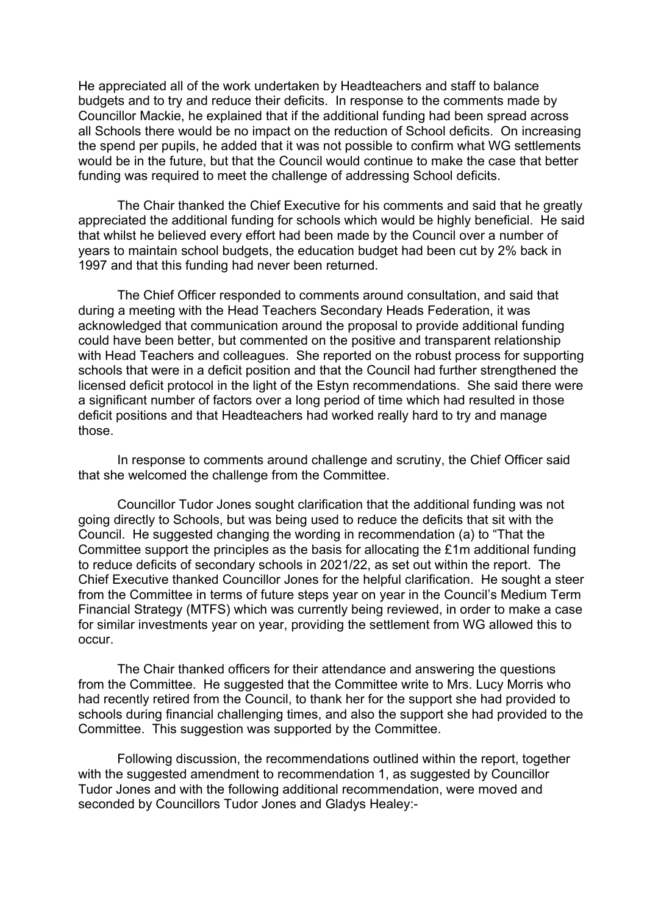He appreciated all of the work undertaken by Headteachers and staff to balance budgets and to try and reduce their deficits. In response to the comments made by Councillor Mackie, he explained that if the additional funding had been spread across all Schools there would be no impact on the reduction of School deficits. On increasing the spend per pupils, he added that it was not possible to confirm what WG settlements would be in the future, but that the Council would continue to make the case that better funding was required to meet the challenge of addressing School deficits.

The Chair thanked the Chief Executive for his comments and said that he greatly appreciated the additional funding for schools which would be highly beneficial. He said that whilst he believed every effort had been made by the Council over a number of years to maintain school budgets, the education budget had been cut by 2% back in 1997 and that this funding had never been returned.

The Chief Officer responded to comments around consultation, and said that during a meeting with the Head Teachers Secondary Heads Federation, it was acknowledged that communication around the proposal to provide additional funding could have been better, but commented on the positive and transparent relationship with Head Teachers and colleagues. She reported on the robust process for supporting schools that were in a deficit position and that the Council had further strengthened the licensed deficit protocol in the light of the Estyn recommendations. She said there were a significant number of factors over a long period of time which had resulted in those deficit positions and that Headteachers had worked really hard to try and manage those.

In response to comments around challenge and scrutiny, the Chief Officer said that she welcomed the challenge from the Committee.

Councillor Tudor Jones sought clarification that the additional funding was not going directly to Schools, but was being used to reduce the deficits that sit with the Council. He suggested changing the wording in recommendation (a) to "That the Committee support the principles as the basis for allocating the £1m additional funding to reduce deficits of secondary schools in 2021/22, as set out within the report. The Chief Executive thanked Councillor Jones for the helpful clarification. He sought a steer from the Committee in terms of future steps year on year in the Council's Medium Term Financial Strategy (MTFS) which was currently being reviewed, in order to make a case for similar investments year on year, providing the settlement from WG allowed this to occur.

The Chair thanked officers for their attendance and answering the questions from the Committee. He suggested that the Committee write to Mrs. Lucy Morris who had recently retired from the Council, to thank her for the support she had provided to schools during financial challenging times, and also the support she had provided to the Committee. This suggestion was supported by the Committee.

Following discussion, the recommendations outlined within the report, together with the suggested amendment to recommendation 1, as suggested by Councillor Tudor Jones and with the following additional recommendation, were moved and seconded by Councillors Tudor Jones and Gladys Healey:-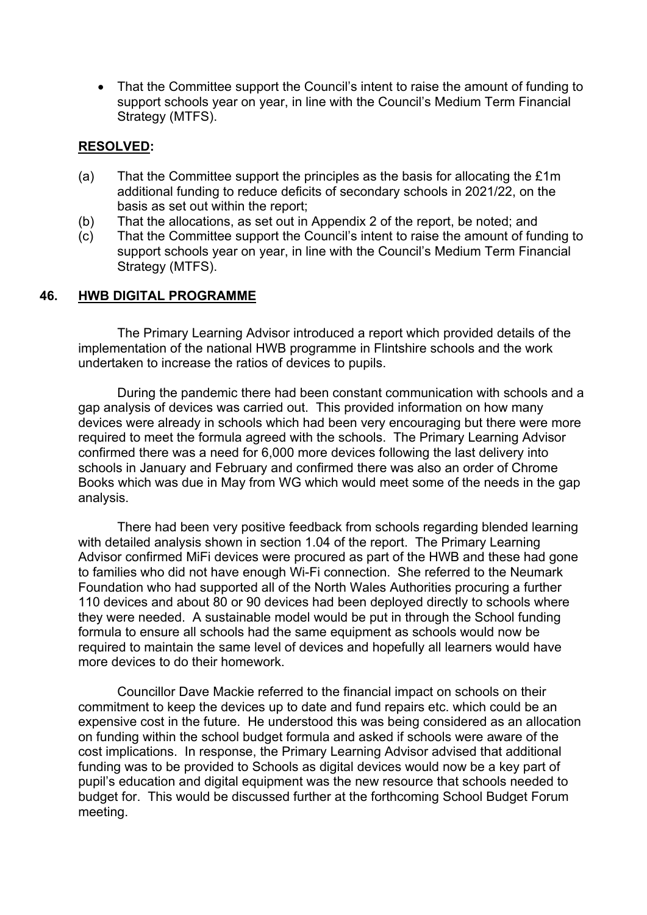• That the Committee support the Council's intent to raise the amount of funding to support schools year on year, in line with the Council's Medium Term Financial Strategy (MTFS).

### **RESOLVED:**

- (a) That the Committee support the principles as the basis for allocating the £1m additional funding to reduce deficits of secondary schools in 2021/22, on the basis as set out within the report;
- (b) That the allocations, as set out in Appendix 2 of the report, be noted; and
- (c) That the Committee support the Council's intent to raise the amount of funding to support schools year on year, in line with the Council's Medium Term Financial Strategy (MTFS).

### **46. HWB DIGITAL PROGRAMME**

The Primary Learning Advisor introduced a report which provided details of the implementation of the national HWB programme in Flintshire schools and the work undertaken to increase the ratios of devices to pupils.

During the pandemic there had been constant communication with schools and a gap analysis of devices was carried out. This provided information on how many devices were already in schools which had been very encouraging but there were more required to meet the formula agreed with the schools. The Primary Learning Advisor confirmed there was a need for 6,000 more devices following the last delivery into schools in January and February and confirmed there was also an order of Chrome Books which was due in May from WG which would meet some of the needs in the gap analysis.

There had been very positive feedback from schools regarding blended learning with detailed analysis shown in section 1.04 of the report. The Primary Learning Advisor confirmed MiFi devices were procured as part of the HWB and these had gone to families who did not have enough Wi-Fi connection. She referred to the Neumark Foundation who had supported all of the North Wales Authorities procuring a further 110 devices and about 80 or 90 devices had been deployed directly to schools where they were needed. A sustainable model would be put in through the School funding formula to ensure all schools had the same equipment as schools would now be required to maintain the same level of devices and hopefully all learners would have more devices to do their homework.

Councillor Dave Mackie referred to the financial impact on schools on their commitment to keep the devices up to date and fund repairs etc. which could be an expensive cost in the future. He understood this was being considered as an allocation on funding within the school budget formula and asked if schools were aware of the cost implications. In response, the Primary Learning Advisor advised that additional funding was to be provided to Schools as digital devices would now be a key part of pupil's education and digital equipment was the new resource that schools needed to budget for. This would be discussed further at the forthcoming School Budget Forum meeting.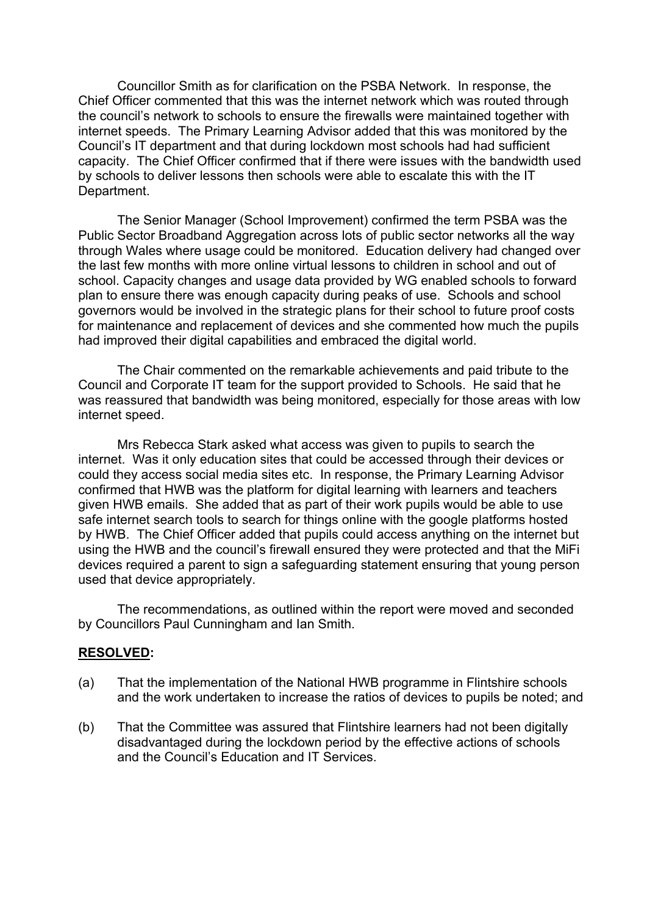Councillor Smith as for clarification on the PSBA Network. In response, the Chief Officer commented that this was the internet network which was routed through the council's network to schools to ensure the firewalls were maintained together with internet speeds. The Primary Learning Advisor added that this was monitored by the Council's IT department and that during lockdown most schools had had sufficient capacity. The Chief Officer confirmed that if there were issues with the bandwidth used by schools to deliver lessons then schools were able to escalate this with the IT Department.

The Senior Manager (School Improvement) confirmed the term PSBA was the Public Sector Broadband Aggregation across lots of public sector networks all the way through Wales where usage could be monitored. Education delivery had changed over the last few months with more online virtual lessons to children in school and out of school. Capacity changes and usage data provided by WG enabled schools to forward plan to ensure there was enough capacity during peaks of use. Schools and school governors would be involved in the strategic plans for their school to future proof costs for maintenance and replacement of devices and she commented how much the pupils had improved their digital capabilities and embraced the digital world.

The Chair commented on the remarkable achievements and paid tribute to the Council and Corporate IT team for the support provided to Schools. He said that he was reassured that bandwidth was being monitored, especially for those areas with low internet speed.

Mrs Rebecca Stark asked what access was given to pupils to search the internet. Was it only education sites that could be accessed through their devices or could they access social media sites etc. In response, the Primary Learning Advisor confirmed that HWB was the platform for digital learning with learners and teachers given HWB emails. She added that as part of their work pupils would be able to use safe internet search tools to search for things online with the google platforms hosted by HWB. The Chief Officer added that pupils could access anything on the internet but using the HWB and the council's firewall ensured they were protected and that the MiFi devices required a parent to sign a safeguarding statement ensuring that young person used that device appropriately.

The recommendations, as outlined within the report were moved and seconded by Councillors Paul Cunningham and Ian Smith.

### **RESOLVED:**

- (a) That the implementation of the National HWB programme in Flintshire schools and the work undertaken to increase the ratios of devices to pupils be noted; and
- (b) That the Committee was assured that Flintshire learners had not been digitally disadvantaged during the lockdown period by the effective actions of schools and the Council's Education and IT Services.